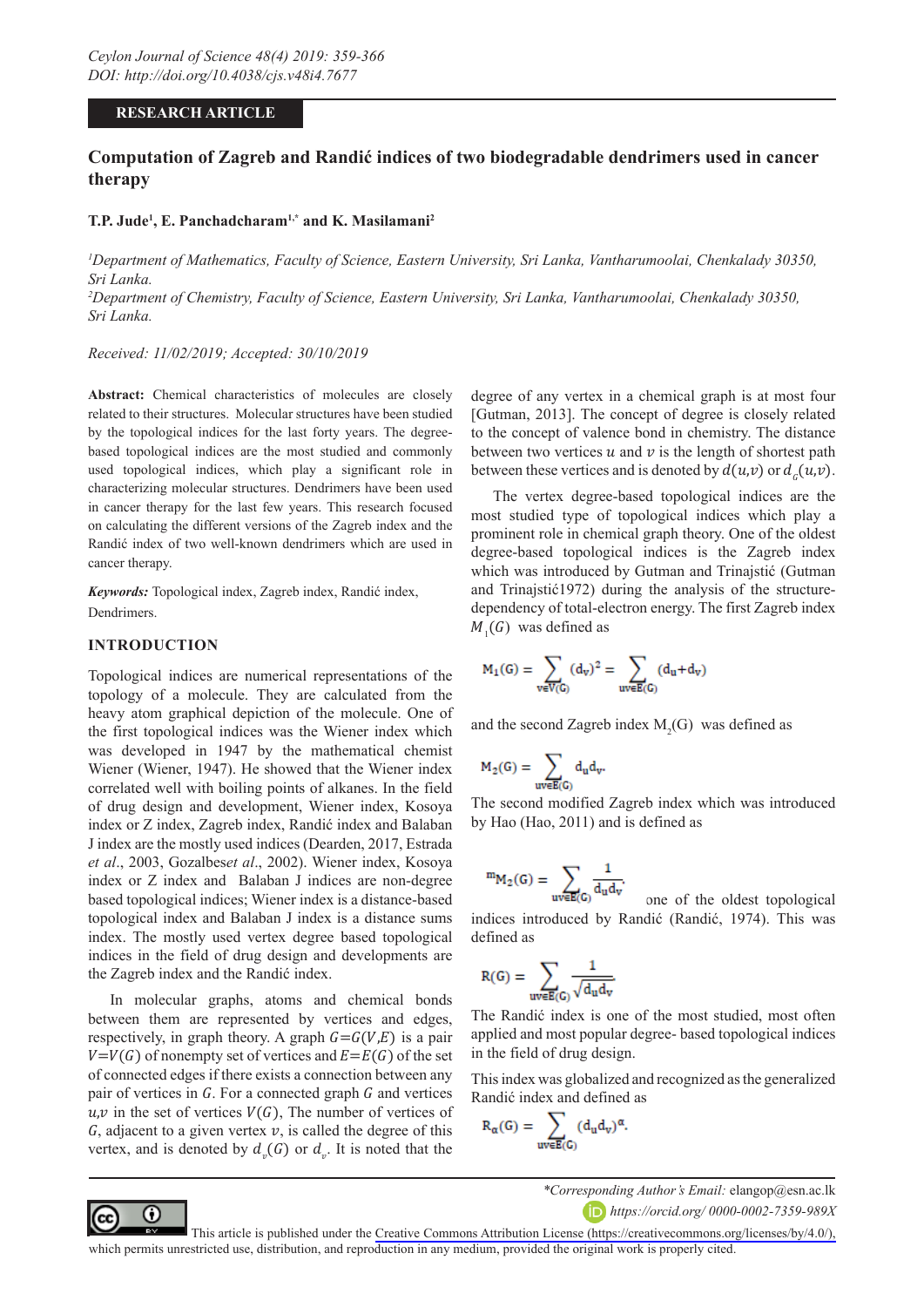### **RESEARCH ARTICLE**

# **Computation of Zagreb and Randić indices of two biodegradable dendrimers used in cancer therapy**

#### **T.P. Jude1 , E. Panchadcharam1,\* and K. Masilamani<sup>2</sup>**

*1 Department of Mathematics, Faculty of Science, Eastern University, Sri Lanka, Vantharumoolai, Chenkalady 30350, Sri Lanka.* 

*2 Department of Chemistry, Faculty of Science, Eastern University, Sri Lanka, Vantharumoolai, Chenkalady 30350, Sri Lanka.*

*Received: 11/02/2019; Accepted: 30/10/2019*

**Abstract:** Chemical characteristics of molecules are closely related to their structures. Molecular structures have been studied by the topological indices for the last forty years. The degreebased topological indices are the most studied and commonly used topological indices, which play a significant role in characterizing molecular structures. Dendrimers have been used in cancer therapy for the last few years. This research focused on calculating the different versions of the Zagreb index and the Randić index of two well-known dendrimers which are used in cancer therapy.

*Keywords:* Topological index, Zagreb index, Randić index, Dendrimers.

#### **INTRODUCTION**

⋒

Topological indices are numerical representations of the topology of a molecule. They are calculated from the heavy atom graphical depiction of the molecule. One of the first topological indices was the Wiener index which was developed in 1947 by the mathematical chemist Wiener (Wiener, 1947). He showed that the Wiener index correlated well with boiling points of alkanes. In the field of drug design and development, Wiener index, Kosoya index or Z index, Zagreb index, Randić index and Balaban J index are the mostly used indices (Dearden, 2017, Estrada *et al*., 2003, Gozalbes*et al*., 2002). Wiener index, Kosoya index or Z index and Balaban J indices are non-degree based topological indices; Wiener index is a distance-based topological index and Balaban J index is a distance sums index. The mostly used vertex degree based topological indices in the field of drug design and developments are the Zagreb index and the Randić index.

In molecular graphs, atoms and chemical bonds between them are represented by vertices and edges, respectively, in graph theory. A graph  $G = G(V,E)$  is a pair  $V=V(G)$  of nonempty set of vertices and  $E=E(G)$  of the set of connected edges if there exists a connection between any pair of vertices in  $G$ . For a connected graph  $G$  and vertices  $u, v$  in the set of vertices  $V(G)$ , The number of vertices of  $G$ , adjacent to a given vertex  $v$ , is called the degree of this vertex, and is denoted by  $d_v(G)$  or  $d_v$ . It is noted that the degree of any vertex in a chemical graph is at most four [Gutman, 2013]. The concept of degree is closely related to the concept of valence bond in chemistry. The distance between two vertices  $u$  and  $v$  is the length of shortest path between these vertices and is denoted by  $d(u,v)$  or  $d_c(u,v)$ .

The vertex degree-based topological indices are the most studied type of topological indices which play a prominent role in chemical graph theory. One of the oldest degree-based topological indices is the Zagreb index which was introduced by Gutman and Trinajstić (Gutman and Trinajstić1972) during the analysis of the structuredependency of total-electron energy. The first Zagreb index  $M_1(G)$  was defined as

$$
M_1(G)=\sum_{v\in V(G)}(d_v)^2=\sum_{uv\in E(G)}(d_u\text{+}d_v)
$$

and the second Zagreb index  $M_2(G)$  was defined as

$$
M_2(G)=\sum_{uv\in E(G)}d_ud_v.
$$

The second modified Zagreb index which was introduced by Hao (Hao, 2011) and is defined as

$$
^{m}M_{2}(G)=\sum_{uv\in E(G)}\frac{1}{d_{u}d_{v}}.
$$

one of the oldest topological indices introduced by Randić (Randić, 1974). This was defined as

$$
R(G) = \sum_{uv \in E(G)} \frac{1}{\sqrt{d_u d_v}}
$$

The Randić index is one of the most studied, most often applied and most popular degree- based topological indices in the field of drug design.

This index was globalized and recognized as the generalized Randić index and defined as

$$
R_{\alpha}(G) = \sum_{uv \in E(G)} (d_u d_v)^{\alpha}
$$

*\*Corresponding Author's Email:* elangop@esn.ac.lk

*https://orcid.org/ 0000-0002-7359-989X*

This article is published under the [Creative Commons Attribution License \(https://creativecommons.org/licenses/by/4.0/\),](https://creativecommons.org/licenses/by/4.0/)  which permits unrestricted use, distribution, and reproduction in any medium, provided the original work is properly cited.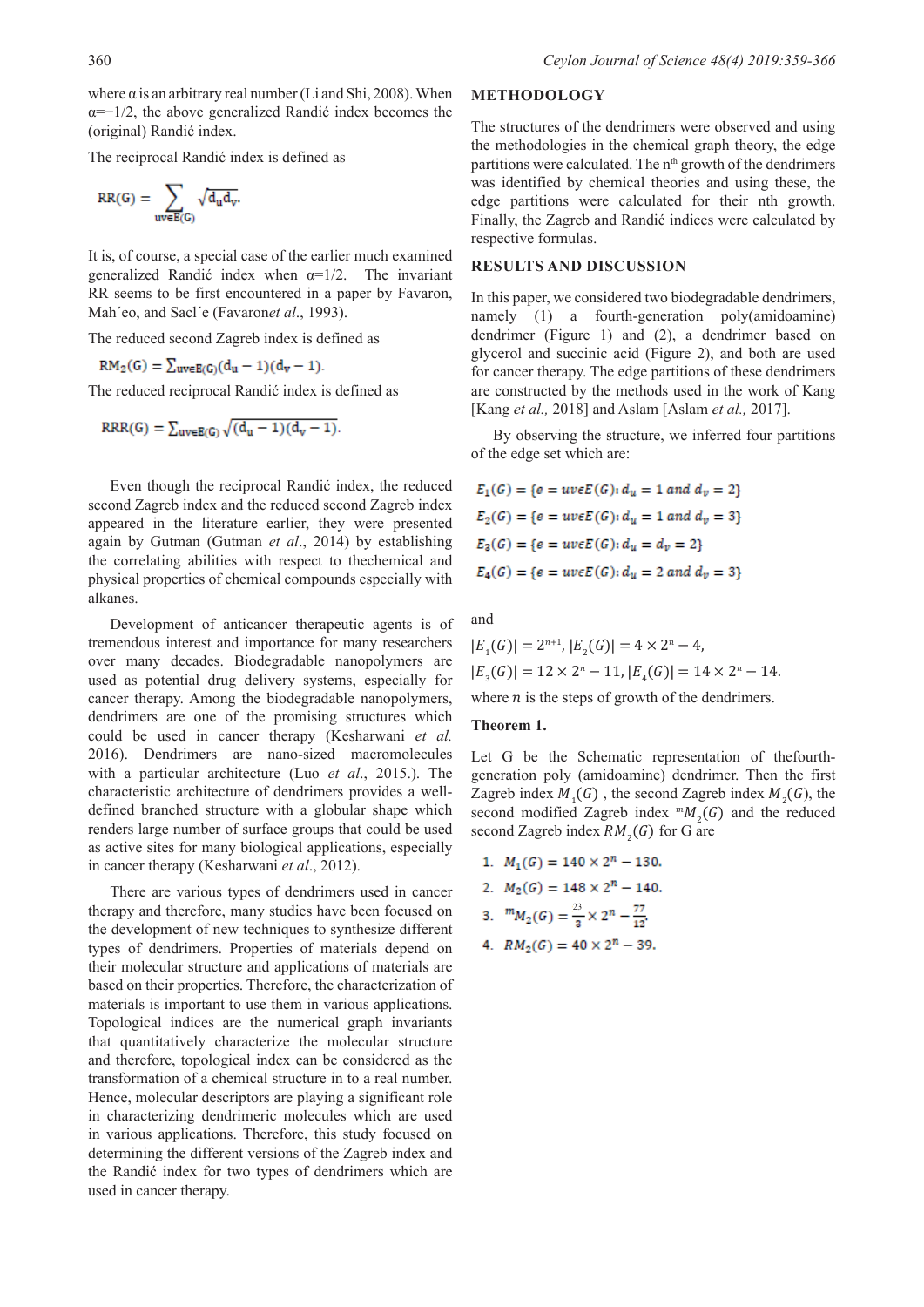where  $\alpha$  is an arbitrary real number (Li and Shi, 2008). When  $\alpha = -1/2$ , the above generalized Randić index becomes the (original) Randić index.

The reciprocal Randić index is defined as

$$
RR(G)=\sum_{uv\in E(G)}\sqrt{d_u d_v}.
$$

It is, of course, a special case of the earlier much examined generalized Randić index when  $\alpha=1/2$ . The invariant RR seems to be first encountered in a paper by Favaron, Mah'eo, and Sacl'e (Favaronet al., 1993).

The reduced second Zagreb index is defined as

$$
RM_2(G) = \sum_{uv \in E(G)} (d_u - 1)(d_v - 1).
$$

The reduced reciprocal Randić index is defined as

$$
RRR(G) = \sum_{uv \in E(G)} \sqrt{(d_u - 1)(d_v - 1)}.
$$

Even though the reciprocal Randić index, the reduced second Zagreb index and the reduced second Zagreb index appeared in the literature earlier, they were presented again by Gutman (Gutman *et al*., 2014) by establishing the correlating abilities with respect to thechemical and physical properties of chemical compounds especially with alkanes.

Development of anticancer therapeutic agents is of tremendous interest and importance for many researchers over many decades. Biodegradable nanopolymers are used as potential drug delivery systems, especially for cancer therapy. Among the biodegradable nanopolymers, dendrimers are one of the promising structures which could be used in cancer therapy (Kesharwani *et al.* 2016). Dendrimers are nano-sized macromolecules with a particular architecture (Luo *et al*., 2015.). The characteristic architecture of dendrimers provides a welldefined branched structure with a globular shape which renders large number of surface groups that could be used as active sites for many biological applications, especially in cancer therapy (Kesharwani *et al*., 2012).

There are various types of dendrimers used in cancer therapy and therefore, many studies have been focused on the development of new techniques to synthesize different types of dendrimers. Properties of materials depend on their molecular structure and applications of materials are based on their properties. Therefore, the characterization of materials is important to use them in various applications. Topological indices are the numerical graph invariants that quantitatively characterize the molecular structure and therefore, topological index can be considered as the transformation of a chemical structure in to a real number. Hence, molecular descriptors are playing a significant role in characterizing dendrimeric molecules which are used in various applications. Therefore, this study focused on determining the different versions of the Zagreb index and the Randić index for two types of dendrimers which are used in cancer therapy.

# **METHODOLOGY**

The structures of the dendrimers were observed and using the methodologies in the chemical graph theory, the edge partitions were calculated. The n<sup>th</sup> growth of the dendrimers was identified by chemical theories and using these, the edge partitions were calculated for their nth growth. Finally, the Zagreb and Randić indices were calculated by respective formulas.

#### **RESULTS AND DISCUSSION**

In this paper, we considered two biodegradable dendrimers, namely (1) a fourth-generation poly(amidoamine) dendrimer (Figure 1) and (2), a dendrimer based on glycerol and succinic acid (Figure 2), and both are used for cancer therapy. The edge partitions of these dendrimers are constructed by the methods used in the work of Kang [Kang *et al.,* 2018] and Aslam [Aslam *et al.,* 2017].

By observing the structure, we inferred four partitions of the edge set which are:

$$
E_1(G) = \{e = uveE(G): d_u = 1 \text{ and } d_v = 2\}
$$
  
\n
$$
E_2(G) = \{e = uveE(G): d_u = 1 \text{ and } d_v = 3\}
$$
  
\n
$$
E_3(G) = \{e = uveE(G): d_u = d_v = 2\}
$$
  
\n
$$
E_4(G) = \{e = uveE(G): d_u = 2 \text{ and } d_v = 3\}
$$

and

$$
|E_1(G)| = 2^{n+1}, |E_2(G)| = 4 \times 2^n - 4,
$$
  

$$
|E_3(G)| = 12 \times 2^n - 11, |E_4(G)| = 14 \times 2^n - 14.
$$

where  $n$  is the steps of growth of the dendrimers.

#### **Theorem 1.**

Let G be the Schematic representation of thefourthgeneration poly (amidoamine) dendrimer. Then the first Zagreb index  $M_1(G)$ , the second Zagreb index  $M_2(G)$ , the second modified Zagreb index  $^{m}M_{2}(G)$  and the reduced second Zagreb index  $RM<sub>2</sub>(G)$  for G are

- 1.  $M_1(G) = 140 \times 2^n 130$ .
- 2.  $M_2(G) = 148 \times 2^n 140$ .

3. 
$$
{}^m M_2(G) = \frac{23}{3} \times 2^n - \frac{77}{12}
$$

4.  $RM_2(G) = 40 \times 2^n - 39$ .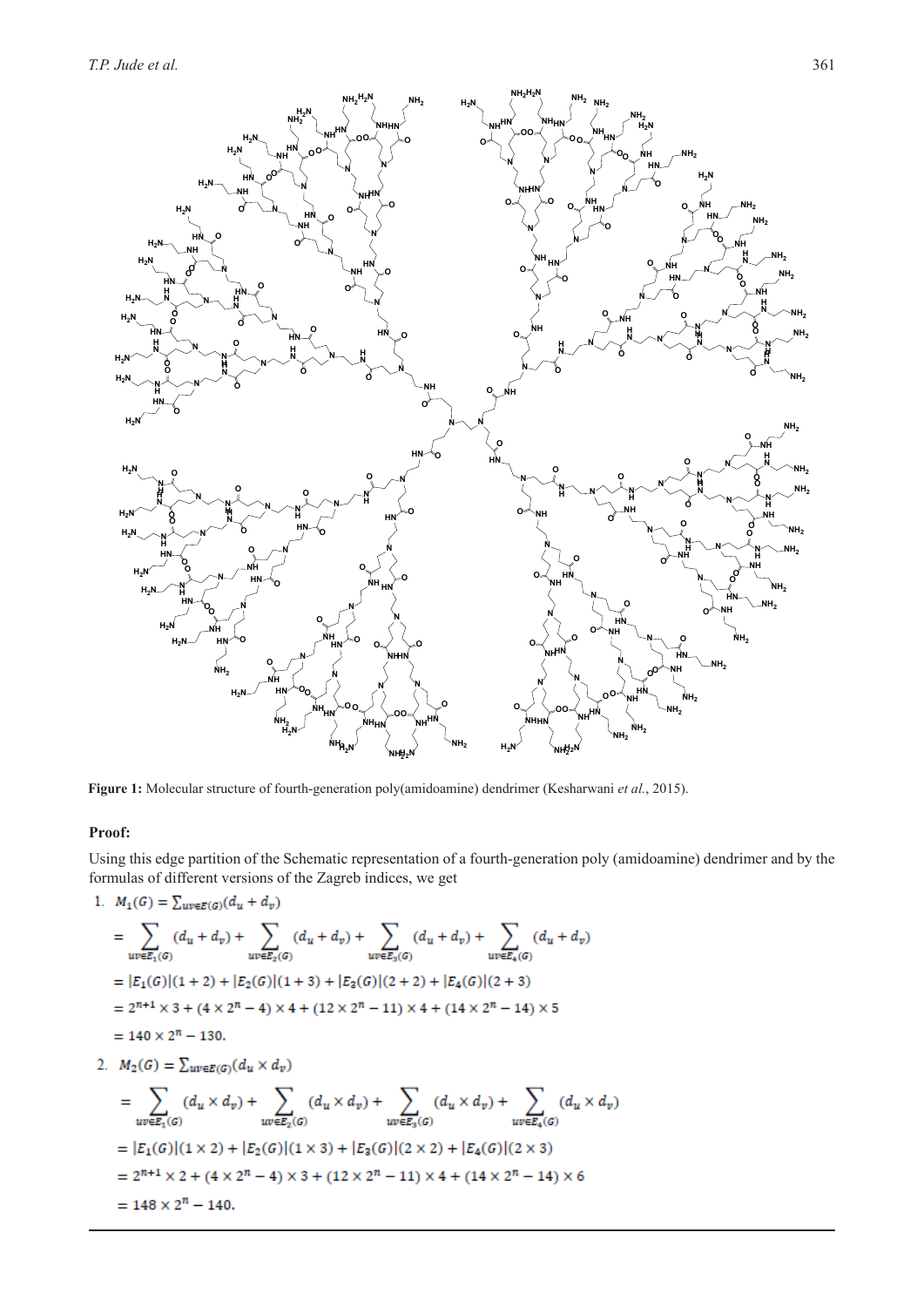

**Figure 1:** Molecular structure of fourth-generation poly(amidoamine) dendrimer (Kesharwani *et al.*, 2015).

# **Proof:**

Using this edge partition of the Schematic representation of a fourth-generation poly (amidoamine) dendrimer and by the formulas of different versions of the Zagreb indices, we get

1. 
$$
M_1(G) = \sum_{uv \in E(G)} (d_u + d_v)
$$
  
\n
$$
= \sum_{uv \in E_1(G)} (d_u + d_v) + \sum_{uv \in E_2(G)} (d_u + d_v) + \sum_{uv \in E_3(G)} (d_u + d_v) + \sum_{uv \in E_4(G)} (d_u + d_v)
$$
\n
$$
= |E_1(G)| (1+2) + |E_2(G)| (1+3) + |E_3(G)| (2+2) + |E_4(G)| (2+3)
$$
\n
$$
= 2^{n+1} \times 3 + (4 \times 2^n - 4) \times 4 + (12 \times 2^n - 11) \times 4 + (14 \times 2^n - 14) \times 5
$$
\n
$$
= 140 \times 2^n - 130.
$$
\n2.  $M_2(G) = \sum_{uv \in E(G)} (d_u \times d_v)$   
\n
$$
= \sum_{uv \in E_1(G)} (d_u \times d_v) + \sum_{uv \in E_2(G)} (d_u \times d_v) + \sum_{uv \in E_3(G)} (d_u \times d_v) + \sum_{uv \in E_4(G)} (d_u \times d_v)
$$
\n
$$
= |E_1(G)| (1 \times 2) + |E_2(G)| (1 \times 3) + |E_3(G)| (2 \times 2) + |E_4(G)| (2 \times 3)
$$
\n
$$
= 2^{n+1} \times 2 + (4 \times 2^n - 4) \times 3 + (12 \times 2^n - 11) \times 4 + (14 \times 2^n - 14) \times 6
$$
\n
$$
= 148 \times 2^n - 140.
$$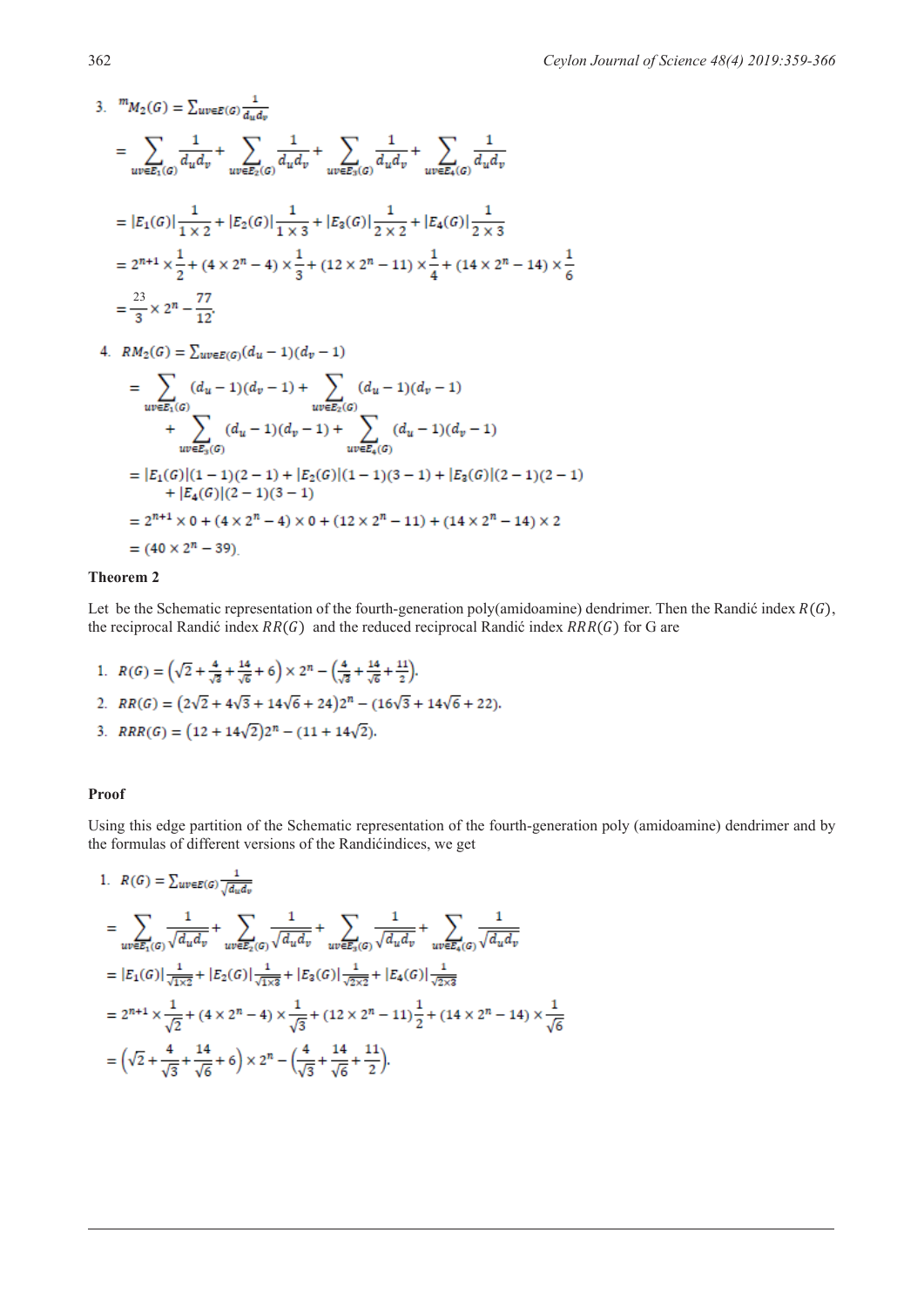3. 
$$
{}^{m}M_{2}(G) = \sum_{uv \in E(G)} \frac{1}{d_{u}d_{v}} + \sum_{uv \in E_{2}(G)} \frac{1}{d_{u}d_{v}} + \sum_{uv \in E_{3}(G)} \frac{1}{d_{u}d_{v}} + \sum_{uv \in E_{4}(G)} \frac{1}{d_{u}d_{v}} + \sum_{uv \in E_{4}(G)} \frac{1}{d_{u}d_{v}}
$$
  
\n
$$
= |E_{1}(G)| \frac{1}{1 \times 2} + |E_{2}(G)| \frac{1}{1 \times 3} + |E_{3}(G)| \frac{1}{2 \times 2} + |E_{4}(G)| \frac{1}{2 \times 3}
$$
  
\n
$$
= 2^{n+1} \times \frac{1}{2} + (4 \times 2^{n} - 4) \times \frac{1}{3} + (12 \times 2^{n} - 11) \times \frac{1}{4} + (14 \times 2^{n} - 14) \times \frac{1}{6}
$$
  
\n
$$
= \frac{23}{3} \times 2^{n} - \frac{77}{12}.
$$

4.  $RM_2(G) = \sum_{u,v \in E(G)} (d_u - 1)(d_v - 1)$ 

$$
= \sum_{uv \in E_1(G)} (d_u - 1)(d_v - 1) + \sum_{uv \in E_2(G)} (d_u - 1)(d_v - 1)
$$
  
+ 
$$
\sum_{uv \in E_3(G)} (d_u - 1)(d_v - 1) + \sum_{uv \in E_4(G)} (d_u - 1)(d_v - 1)
$$
  
= 
$$
|E_1(G)|(1 - 1)(2 - 1) + |E_2(G)|(1 - 1)(3 - 1) + |E_3(G)|(2 - 1)(2 - 1)
$$
  
+ 
$$
|E_4(G)|(2 - 1)(3 - 1)
$$
  
= 
$$
2^{n+1} \times 0 + (4 \times 2^n - 4) \times 0 + (12 \times 2^n - 11) + (14 \times 2^n - 14) \times 2
$$
  
= 
$$
(40 \times 2^n - 39).
$$

### **Theorem 2**

Let be the Schematic representation of the fourth-generation poly(amidoamine) dendrimer. Then the Randić index  $R(G)$ , the reciprocal Randić index  $RR(G)$  and the reduced reciprocal Randić index  $RRR(G)$  for G are

1.  $R(G) = (\sqrt{2} + \frac{4}{\sqrt{6}} + \frac{14}{\sqrt{6}} + 6) \times 2^n - (\frac{4}{\sqrt{2}} + \frac{14}{\sqrt{6}} + \frac{11}{2}).$ 2.  $RR(G) = (2\sqrt{2} + 4\sqrt{3} + 14\sqrt{6} + 24)2^{n} - (16\sqrt{3} + 14\sqrt{6} + 22).$ 3.  $RRR(G) = (12 + 14\sqrt{2})2^{n} - (11 + 14\sqrt{2}).$ 

# **Proof**

 $\overline{\phantom{a}}$ 

Using this edge partition of the Schematic representation of the fourth-generation poly (amidoamine) dendrimer and by the formulas of different versions of the Randićindices, we get

1. 
$$
R(G) = \sum_{uv \in E(G)} \frac{1}{\sqrt{d_u d_v}} \\
= \sum_{uv \in E_1(G)} \frac{1}{\sqrt{d_u d_v}} + \sum_{uv \in E_2(G)} \frac{1}{\sqrt{d_u d_v}} + \sum_{uv \in E_3(G)} \frac{1}{\sqrt{d_u d_v}} + \sum_{uv \in E_4(G)} \frac{1}{\sqrt{d_u d_v}} \\
= |E_1(G)| \frac{1}{\sqrt{1 \times 2}} + |E_2(G)| \frac{1}{\sqrt{1 \times 3}} + |E_3(G)| \frac{1}{\sqrt{2 \times 2}} + |E_4(G)| \frac{1}{\sqrt{2 \times 3}} \\
= 2^{n+1} \times \frac{1}{\sqrt{2}} + (4 \times 2^n - 4) \times \frac{1}{\sqrt{3}} + (12 \times 2^n - 11) \frac{1}{2} + (14 \times 2^n - 14) \times \frac{1}{\sqrt{6}} \\
= \left(\sqrt{2} + \frac{4}{\sqrt{3}} + \frac{14}{\sqrt{6}} + 6\right) \times 2^n - \left(\frac{4}{\sqrt{3}} + \frac{14}{\sqrt{6}} + \frac{11}{2}\right).
$$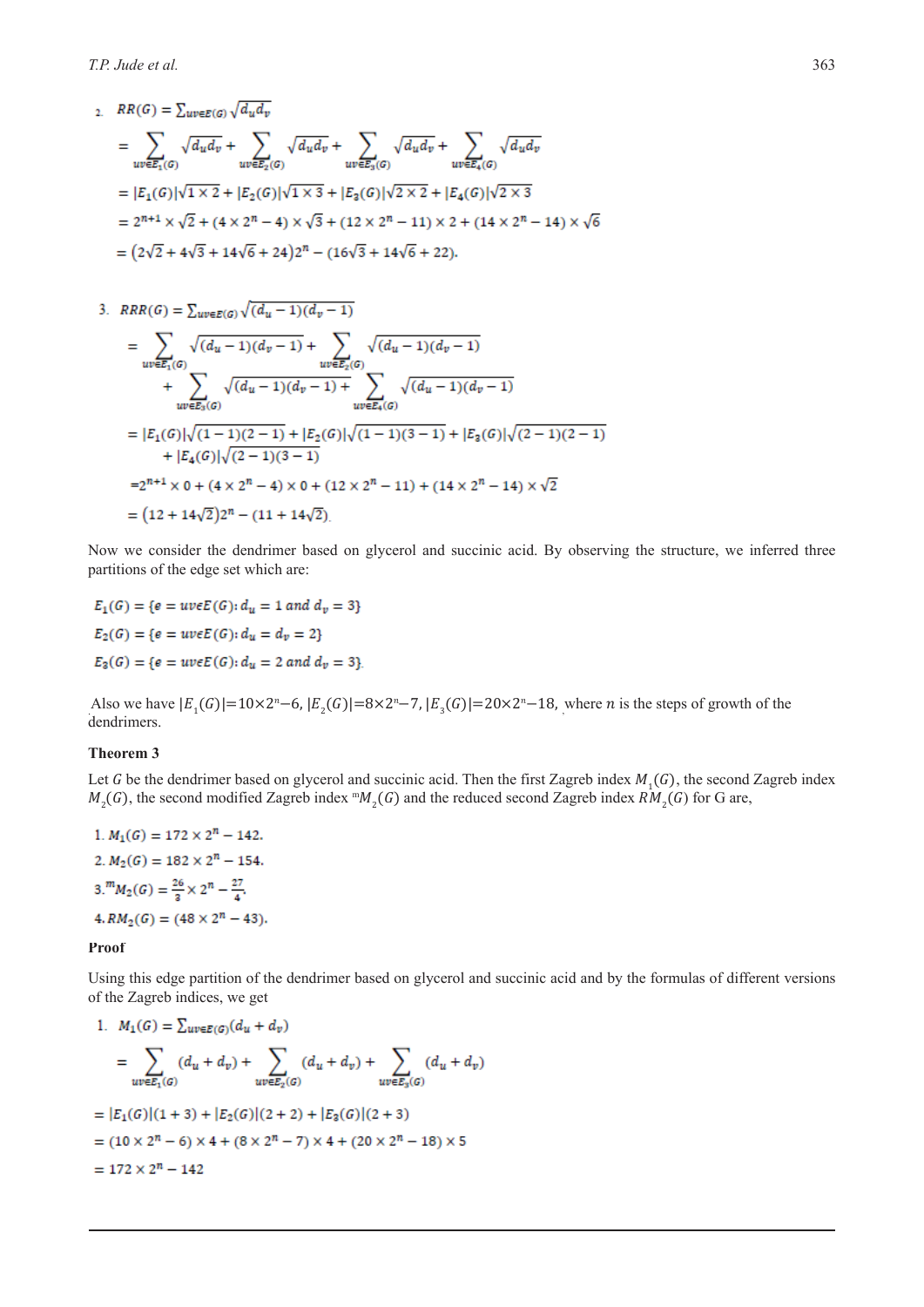2.  $RR(G) = \sum_{u v \in E(G)} \sqrt{d_u d_v}$ 

$$
= \sum_{uv \in E_1(G)} \sqrt{d_u d_v} + \sum_{uv \in E_2(G)} \sqrt{d_u d_v} + \sum_{uv \in E_3(G)} \sqrt{d_u d_v} + \sum_{uv \in E_4(G)} \sqrt{d_u d_v}
$$
  
=  $|E_1(G)|\sqrt{1 \times 2} + |E_2(G)|\sqrt{1 \times 3} + |E_3(G)|\sqrt{2 \times 2} + |E_4(G)|\sqrt{2 \times 3}$   
=  $2^{n+1} \times \sqrt{2} + (4 \times 2^n - 4) \times \sqrt{3} + (12 \times 2^n - 11) \times 2 + (14 \times 2^n - 14) \times \sqrt{6}$   
=  $(2\sqrt{2} + 4\sqrt{3} + 14\sqrt{6} + 24)2^n - (16\sqrt{3} + 14\sqrt{6} + 22).$ 

3. 
$$
RRR(G) = \sum_{uv \in E(G)} \sqrt{(d_u - 1)(d_v - 1)}
$$
  
\n
$$
= \sum_{uv \in E_1(G)} \sqrt{(d_u - 1)(d_v - 1)} + \sum_{uv \in E_2(G)} \sqrt{(d_u - 1)(d_v - 1)}
$$
  
\n
$$
+ \sum_{uv \in E_3(G)} \sqrt{(d_u - 1)(d_v - 1)} + \sum_{uv \in E_4(G)} \sqrt{(d_u - 1)(d_v - 1)}
$$
  
\n
$$
= |E_1(G)|\sqrt{(1 - 1)(2 - 1)} + |E_2(G)|\sqrt{(1 - 1)(3 - 1)} + |E_3(G)|\sqrt{(2 - 1)(2 - 1)}
$$
  
\n
$$
+ |E_4(G)|\sqrt{(2 - 1)(3 - 1)}
$$
  
\n
$$
= 2^{n+1} \times 0 + (4 \times 2^n - 4) \times 0 + (12 \times 2^n - 11) + (14 \times 2^n - 14) \times \sqrt{2}
$$
  
\n
$$
= (12 + 14\sqrt{2})2^n - (11 + 14\sqrt{2}).
$$

Now we consider the dendrimer based on glycerol and succinic acid. By observing the structure, we inferred three partitions of the edge set which are:

$$
E_1(G) = \{e = uveE(G): d_u = 1 \text{ and } d_v = 3\}
$$
  

$$
E_2(G) = \{e = uveE(G): d_u = d_v = 2\}
$$
  

$$
E_3(G) = \{e = uveE(G): d_u = 2 \text{ and } d_v = 3\}
$$

Also we have  $|E_1(G)| = 10 \times 2^n - 6$ ,  $|E_2(G)| = 8 \times 2^n - 7$ ,  $|E_3(G)| = 20 \times 2^n - 18$ , where *n* is the steps of growth of the dendrimers.

#### **Theorem 3**

Let G be the dendrimer based on glycerol and succinic acid. Then the first Zagreb index  $M_1(G)$ , the second Zagreb index  $M_2(G)$ , the second modified Zagreb index  ${}^m M_2(G)$  and the reduced second Zagreb index  $RM_2(G)$  for G are,

1. 
$$
M_1(G) = 172 \times 2^n - 142
$$
.  
\n2.  $M_2(G) = 182 \times 2^n - 154$ .  
\n3.  $M_2(G) = \frac{26}{3} \times 2^n - \frac{27}{4}$ .  
\n4.  $RM_2(G) = (48 \times 2^n - 43)$ .

#### **Proof**

Using this edge partition of the dendrimer based on glycerol and succinic acid and by the formulas of different versions of the Zagreb indices, we get

1. 
$$
M_1(G) = \sum_{uv \in E(G)} (d_u + d_v)
$$
  
\n
$$
= \sum_{uv \in E_1(G)} (d_u + d_v) + \sum_{uv \in E_2(G)} (d_u + d_v) + \sum_{uv \in E_3(G)} (d_u + d_v)
$$
\n
$$
= |E_1(G)|(1+3) + |E_2(G)|(2+2) + |E_3(G)|(2+3)
$$
\n
$$
= (10 \times 2^n - 6) \times 4 + (8 \times 2^n - 7) \times 4 + (20 \times 2^n - 18) \times 5
$$
\n
$$
= 172 \times 2^n - 142
$$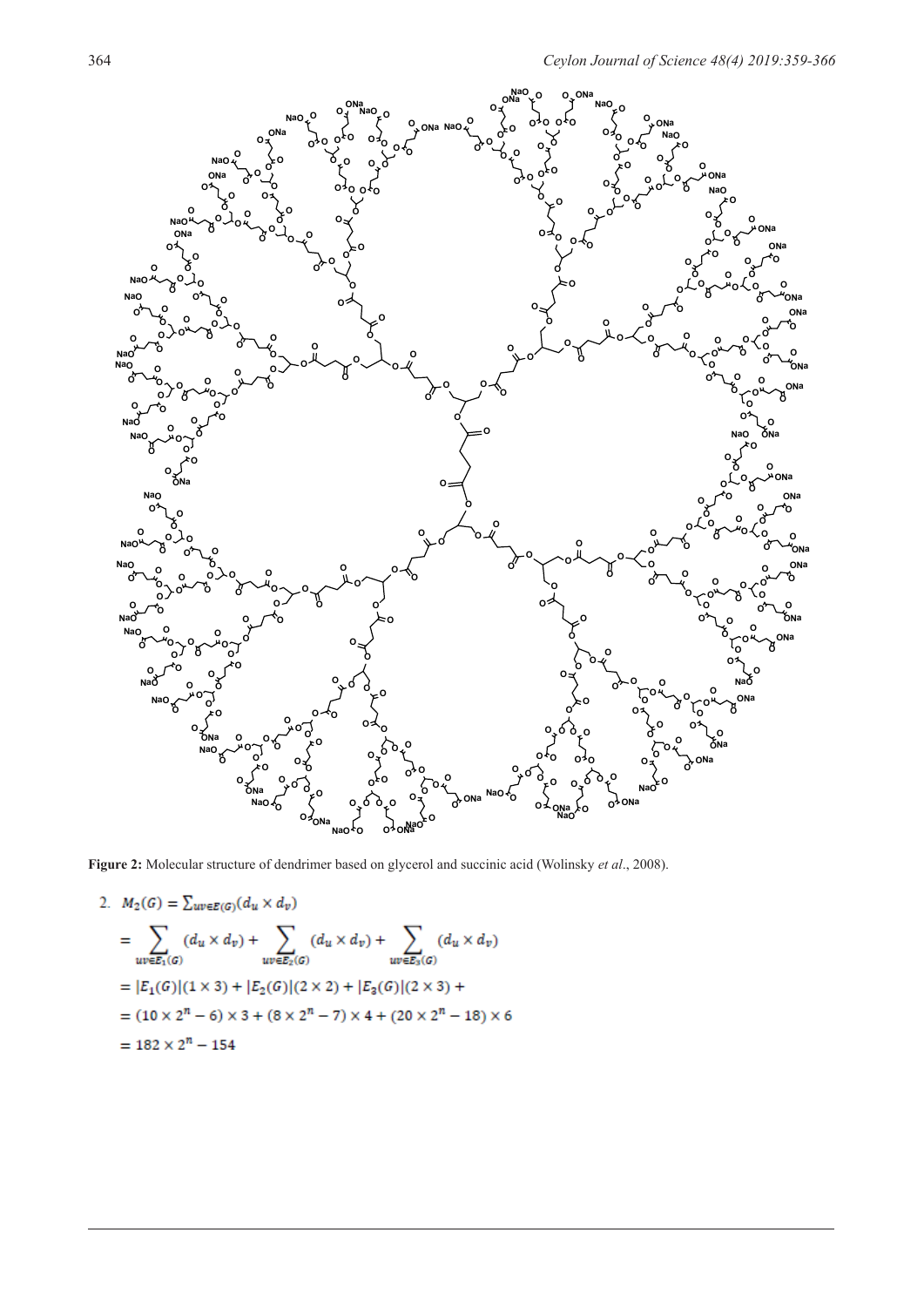

**Figure 2:** Molecular structure of dendrimer based on glycerol and succinic acid (Wolinsky *et al*., 2008).

2. 
$$
M_2(G) = \sum_{uv \in E(G)} (d_u \times d_v)
$$
  
\n
$$
= \sum_{uv \in E_1(G)} (d_u \times d_v) + \sum_{uv \in E_2(G)} (d_u \times d_v) + \sum_{uv \in E_3(G)} (d_u \times d_v)
$$
\n
$$
= |E_1(G)| (1 \times 3) + |E_2(G)| (2 \times 2) + |E_3(G)| (2 \times 3) +
$$
\n
$$
= (10 \times 2^n - 6) \times 3 + (8 \times 2^n - 7) \times 4 + (20 \times 2^n - 18) \times 6
$$
\n
$$
= 182 \times 2^n - 154
$$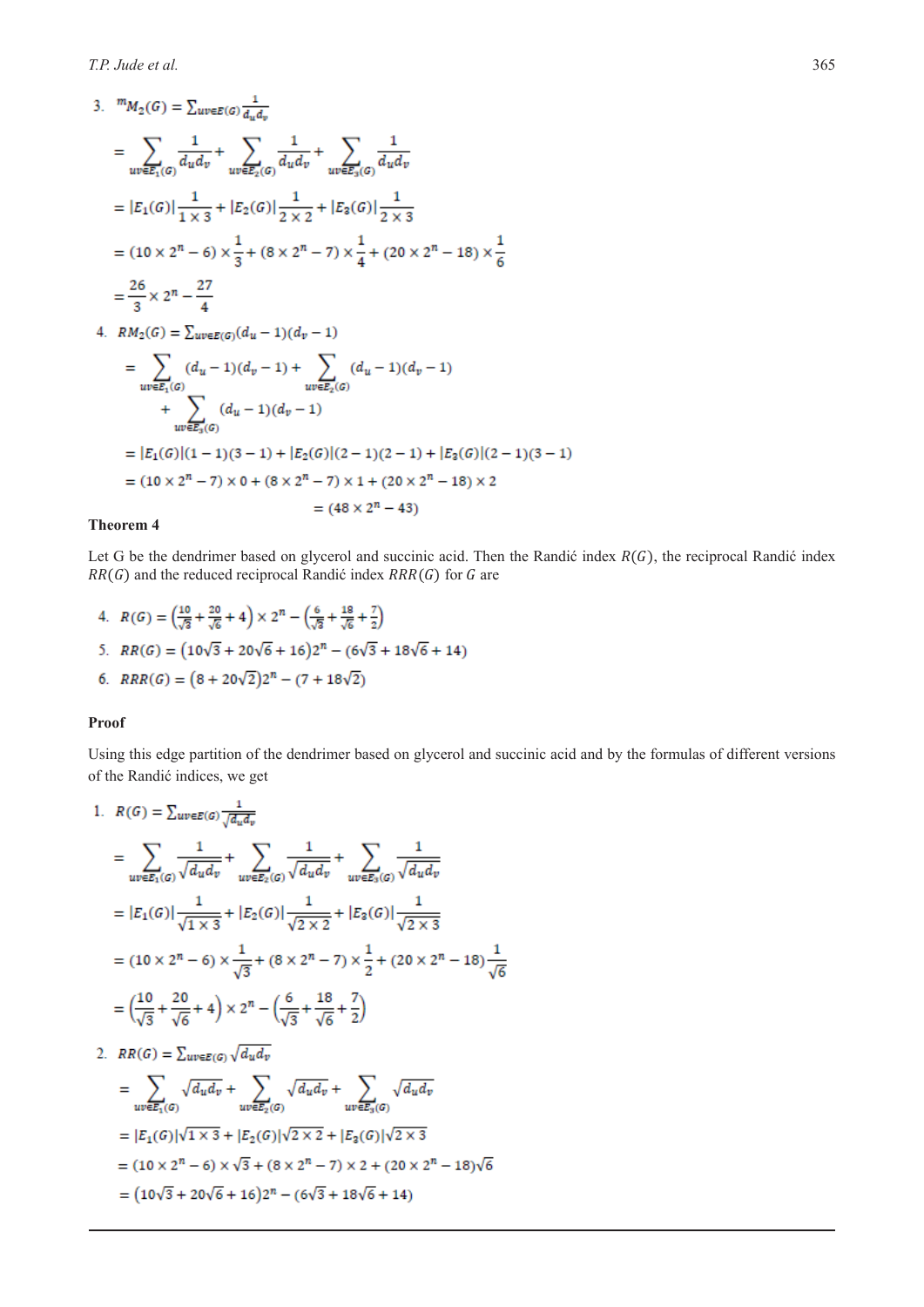3. 
$$
{}^{m}M_{2}(G) = \sum_{uv \in E(G)} \frac{1}{d_{u}d_{v}}
$$
  
\n
$$
= \sum_{uv \in E_{1}(G)} \frac{1}{d_{u}d_{v}} + \sum_{uv \in E_{2}(G)} \frac{1}{d_{u}d_{v}} + \sum_{uv \in E_{3}(G)} \frac{1}{d_{u}d_{v}}
$$
  
\n
$$
= |E_{1}(G)| \frac{1}{1 \times 3} + |E_{2}(G)| \frac{1}{2 \times 2} + |E_{3}(G)| \frac{1}{2 \times 3}
$$
  
\n
$$
= (10 \times 2^{n} - 6) \times \frac{1}{3} + (8 \times 2^{n} - 7) \times \frac{1}{4} + (20 \times 2^{n} - 18) \times \frac{1}{6}
$$
  
\n
$$
= \frac{26}{3} \times 2^{n} - \frac{27}{4}
$$
  
\n4. 
$$
RM_{2}(G) = \sum_{uv \in E(G)} (d_{u} - 1)(d_{v} - 1)
$$
  
\n
$$
= \sum_{uv \in E_{1}(G)} (d_{u} - 1)(d_{v} - 1) + \sum_{uv \in E_{2}(G)} (d_{u} - 1)(d_{v} - 1)
$$
  
\n
$$
+ \sum_{uv \in E_{3}(G)} (d_{u} - 1)(d_{v} - 1)
$$
  
\n
$$
= |E_{1}(G)| (1 - 1)(3 - 1) + |E_{2}(G)| (2 - 1)(2 - 1) + |E_{3}(G)| (2 - 1)(3 - 1)
$$
  
\n
$$
= (10 \times 2^{n} - 7) \times 0 + (8 \times 2^{n} - 7) \times 1 + (20 \times 2^{n} - 18) \times 2
$$
  
\n
$$
= (48 \times 2^{n} - 43)
$$

# **Theorem 4**

Let G be the dendrimer based on glycerol and succinic acid. Then the Randić index  $R(G)$ , the reciprocal Randić index  $RR(G)$  and the reduced reciprocal Randić index  $RRR(G)$  for G are

4. 
$$
R(G) = \left(\frac{10}{\sqrt{3}} + \frac{20}{\sqrt{6}} + 4\right) \times 2^n - \left(\frac{6}{\sqrt{3}} + \frac{18}{\sqrt{6}} + \frac{7}{2}\right)
$$
  
\n5.  $RR(G) = \left(10\sqrt{3} + 20\sqrt{6} + 16\right)2^n - \left(6\sqrt{3} + 18\sqrt{6} + 14\right)$   
\n6.  $RRR(G) = \left(8 + 20\sqrt{2}\right)2^n - \left(7 + 18\sqrt{2}\right)$ 

#### **Proof**

Using this edge partition of the dendrimer based on glycerol and succinic acid and by the formulas of different versions of the Randić indices, we get

1. 
$$
R(G) = \sum_{uv \in E(G)} \frac{1}{\sqrt{d_u d_v}} + \sum_{uv \in E_2(G)} \frac{1}{\sqrt{d_u d_v}} + \sum_{uv \in E_3(G)} \frac{1}{\sqrt{d_u d_v}} = |E_1(G)| \frac{1}{\sqrt{1 \times 3}} + |E_2(G)| \frac{1}{\sqrt{2 \times 2}} + |E_3(G)| \frac{1}{\sqrt{2 \times 3}} = (10 \times 2^n - 6) \times \frac{1}{\sqrt{3}} + (8 \times 2^n - 7) \times \frac{1}{2} + (20 \times 2^n - 18) \frac{1}{\sqrt{6}} = \left(\frac{10}{\sqrt{3}} + \frac{20}{\sqrt{6}} + 4\right) \times 2^n - \left(\frac{6}{\sqrt{3}} + \frac{18}{\sqrt{6}} + \frac{7}{2}\right)
$$

2.  $RR(G) = \sum_{w \in E(G)} \sqrt{d_u d_v}$ 

$$
= \sum_{uv \in E_1(G)} \sqrt{d_u d_v} + \sum_{uv \in E_2(G)} \sqrt{d_u d_v} + \sum_{uv \in E_3(G)} \sqrt{d_u d_v}
$$
  
=  $|E_1(G)|\sqrt{1 \times 3} + |E_2(G)|\sqrt{2 \times 2} + |E_3(G)|\sqrt{2 \times 3}$   
=  $(10 \times 2^n - 6) \times \sqrt{3} + (8 \times 2^n - 7) \times 2 + (20 \times 2^n - 18)\sqrt{6}$   
=  $(10\sqrt{3} + 20\sqrt{6} + 16)2^n - (6\sqrt{3} + 18\sqrt{6} + 14)$